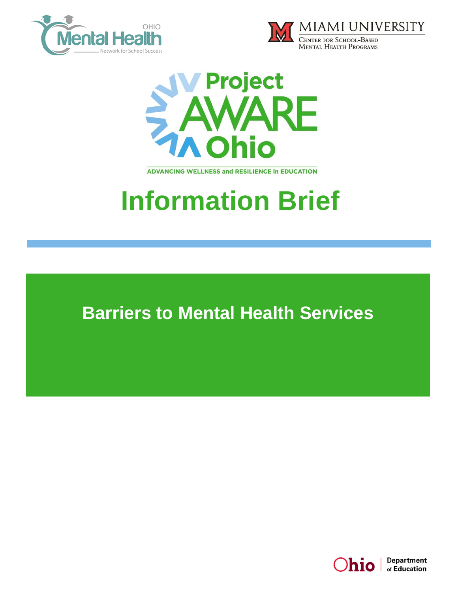





**ADVANCING WELLNESS and RESILIENCE In EDUCATION** 

## **Information Brief**

**Barriers to Mental Health Services**

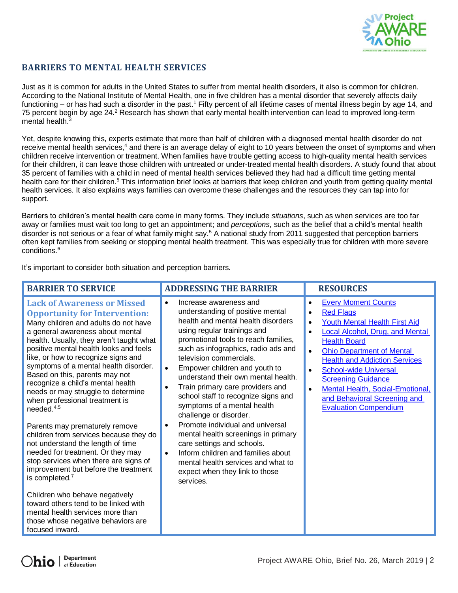

## **BARRIERS TO MENTAL HEALTH SERVICES**

Just as it is common for adults in the United States to suffer from mental health disorders, it also is common for children. According to the National Institute of Mental Health, one in five children has a mental disorder that severely affects daily functioning – or has had such a disorder in the past.<sup>1</sup> Fifty percent of all lifetime cases of mental illness begin by age 14, and 75 percent begin by age 24.<sup>2</sup> Research has shown that early mental health intervention can lead to improved long-term mental health.<sup>3</sup>

Yet, despite knowing this, experts estimate that more than half of children with a diagnosed mental health disorder do not receive mental health services,<sup>4</sup> and there is an average delay of eight to 10 years between the onset of symptoms and when children receive intervention or treatment. When families have trouble getting access to high-quality mental health services for their children, it can leave those children with untreated or under-treated mental health disorders. A study found that about 35 percent of families with a child in need of mental health services believed they had had a difficult time getting mental health care for their children.<sup>5</sup> This information brief looks at barriers that keep children and youth from getting quality mental health services. It also explains ways families can overcome these challenges and the resources they can tap into for support.

Barriers to children's mental health care come in many forms. They include *situations*, such as when services are too far away or families must wait too long to get an appointment; and *perceptions*, such as the belief that a child's mental health disorder is not serious or a fear of what family might say.<sup>5</sup> A national study from 2011 suggested that perception barriers often kept families from seeking or stopping mental health treatment. This was especially true for children with more severe conditions.<sup>6</sup>

It's important to consider both situation and perception barriers.

| <b>BARRIER TO SERVICE</b>                                                                                                                                                                                                                                                                                                                                                                                                                                                                                                                                                                                                                                                                                                                                                                                                                                                                                                                | <b>ADDRESSING THE BARRIER</b>                                                                                                                                                                                                                                                                                                                                                                                                                                                                                                                                                                                                                                                                          | <b>RESOURCES</b>                                                                                                                                                                                                                                                                                                                                                                                                  |
|------------------------------------------------------------------------------------------------------------------------------------------------------------------------------------------------------------------------------------------------------------------------------------------------------------------------------------------------------------------------------------------------------------------------------------------------------------------------------------------------------------------------------------------------------------------------------------------------------------------------------------------------------------------------------------------------------------------------------------------------------------------------------------------------------------------------------------------------------------------------------------------------------------------------------------------|--------------------------------------------------------------------------------------------------------------------------------------------------------------------------------------------------------------------------------------------------------------------------------------------------------------------------------------------------------------------------------------------------------------------------------------------------------------------------------------------------------------------------------------------------------------------------------------------------------------------------------------------------------------------------------------------------------|-------------------------------------------------------------------------------------------------------------------------------------------------------------------------------------------------------------------------------------------------------------------------------------------------------------------------------------------------------------------------------------------------------------------|
| <b>Lack of Awareness or Missed</b><br><b>Opportunity for Intervention:</b><br>Many children and adults do not have<br>a general awareness about mental<br>health. Usually, they aren't taught what<br>positive mental health looks and feels<br>like, or how to recognize signs and<br>symptoms of a mental health disorder.<br>Based on this, parents may not<br>recognize a child's mental health<br>needs or may struggle to determine<br>when professional treatment is<br>needed. $4,5$<br>Parents may prematurely remove<br>children from services because they do<br>not understand the length of time<br>needed for treatment. Or they may<br>stop services when there are signs of<br>improvement but before the treatment<br>is completed. <sup>7</sup><br>Children who behave negatively<br>toward others tend to be linked with<br>mental health services more than<br>those whose negative behaviors are<br>focused inward. | Increase awareness and<br>understanding of positive mental<br>health and mental health disorders<br>using regular trainings and<br>promotional tools to reach families,<br>such as infographics, radio ads and<br>television commercials.<br>Empower children and youth to<br>understand their own mental health.<br>Train primary care providers and<br>school staff to recognize signs and<br>symptoms of a mental health<br>challenge or disorder.<br>Promote individual and universal<br>mental health screenings in primary<br>care settings and schools.<br>Inform children and families about<br>$\bullet$<br>mental health services and what to<br>expect when they link to those<br>services. | <b>Every Moment Counts</b><br><b>Red Flags</b><br><b>Youth Mental Health First Aid</b><br><b>Local Alcohol, Drug, and Mental</b><br><b>Health Board</b><br><b>Ohio Department of Mental</b><br><b>Health and Addiction Services</b><br><b>School-wide Universal</b><br><b>Screening Guidance</b><br>Mental Health, Social-Emotional,<br>$\bullet$<br>and Behavioral Screening and<br><b>Evaluation Compendium</b> |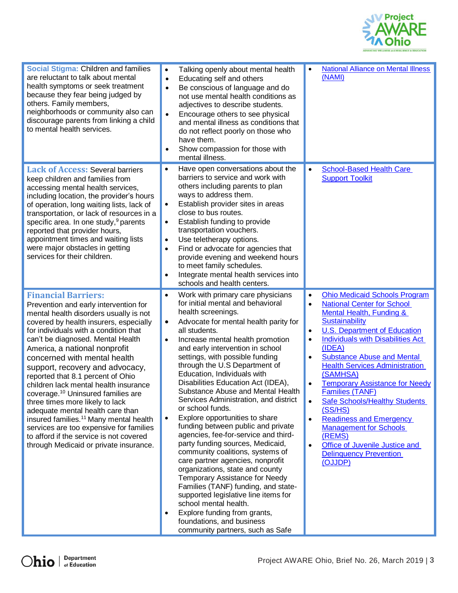

| Social Stigma: Children and families<br>are reluctant to talk about mental<br>health symptoms or seek treatment<br>because they fear being judged by<br>others. Family members,<br>neighborhoods or community also can<br>discourage parents from linking a child<br>to mental health services.                                                                                                                                                                                                                                                                                                                                                                                                                                        | Talking openly about mental health<br>$\bullet$<br>Educating self and others<br>$\bullet$<br>Be conscious of language and do<br>$\bullet$<br>not use mental health conditions as<br>adjectives to describe students.<br>Encourage others to see physical<br>$\bullet$<br>and mental illness as conditions that<br>do not reflect poorly on those who<br>have them.<br>Show compassion for those with<br>mental illness.                                                                                                                                                                                                                                                                                                                                                                                                                                                                                                                                                                                                         | <b>National Alliance on Mental Illness</b><br>$\bullet$<br>(NAMI)                                                                                                                                                                                                                                                                                                                                                                                                                                                                                                                                                                                                                                                         |
|----------------------------------------------------------------------------------------------------------------------------------------------------------------------------------------------------------------------------------------------------------------------------------------------------------------------------------------------------------------------------------------------------------------------------------------------------------------------------------------------------------------------------------------------------------------------------------------------------------------------------------------------------------------------------------------------------------------------------------------|---------------------------------------------------------------------------------------------------------------------------------------------------------------------------------------------------------------------------------------------------------------------------------------------------------------------------------------------------------------------------------------------------------------------------------------------------------------------------------------------------------------------------------------------------------------------------------------------------------------------------------------------------------------------------------------------------------------------------------------------------------------------------------------------------------------------------------------------------------------------------------------------------------------------------------------------------------------------------------------------------------------------------------|---------------------------------------------------------------------------------------------------------------------------------------------------------------------------------------------------------------------------------------------------------------------------------------------------------------------------------------------------------------------------------------------------------------------------------------------------------------------------------------------------------------------------------------------------------------------------------------------------------------------------------------------------------------------------------------------------------------------------|
| <b>Lack of Access: Several barriers</b><br>keep children and families from<br>accessing mental health services,<br>including location, the provider's hours<br>of operation, long waiting lists, lack of<br>transportation, or lack of resources in a<br>specific area. In one study, <sup>9</sup> parents<br>reported that provider hours,<br>appointment times and waiting lists<br>were major obstacles in getting<br>services for their children.                                                                                                                                                                                                                                                                                  | Have open conversations about the<br>$\bullet$<br>barriers to service and work with<br>others including parents to plan<br>ways to address them.<br>Establish provider sites in areas<br>$\bullet$<br>close to bus routes.<br>Establish funding to provide<br>$\bullet$<br>transportation vouchers.<br>Use teletherapy options.<br>$\bullet$<br>Find or advocate for agencies that<br>$\bullet$<br>provide evening and weekend hours<br>to meet family schedules.<br>Integrate mental health services into<br>schools and health centers.                                                                                                                                                                                                                                                                                                                                                                                                                                                                                       | <b>School-Based Health Care</b><br>$\bullet$<br><b>Support Toolkit</b>                                                                                                                                                                                                                                                                                                                                                                                                                                                                                                                                                                                                                                                    |
| <b>Financial Barriers:</b><br>Prevention and early intervention for<br>mental health disorders usually is not<br>covered by health insurers, especially<br>for individuals with a condition that<br>can't be diagnosed. Mental Health<br>America, a national nonprofit<br>concerned with mental health<br>support, recovery and advocacy,<br>reported that 8.1 percent of Ohio<br>children lack mental health insurance<br>coverage. <sup>10</sup> Uninsured families are<br>three times more likely to lack<br>adequate mental health care than<br>insured families. <sup>11</sup> Many mental health<br>services are too expensive for families<br>to afford if the service is not covered<br>through Medicaid or private insurance. | Work with primary care physicians<br>$\bullet$<br>for initial mental and behavioral<br>health screenings.<br>Advocate for mental health parity for<br>٠<br>all students.<br>Increase mental health promotion<br>$\bullet$<br>and early intervention in school<br>settings, with possible funding<br>through the U.S Department of<br>Education, Individuals with<br>Disabilities Education Act (IDEA),<br>Substance Abuse and Mental Health<br>Services Administration, and district<br>or school funds.<br>Explore opportunities to share<br>$\bullet$<br>funding between public and private<br>agencies, fee-for-service and third-<br>party funding sources, Medicaid,<br>community coalitions, systems of<br>care partner agencies, nonprofit<br>organizations, state and county<br>Temporary Assistance for Needy<br>Families (TANF) funding, and state-<br>supported legislative line items for<br>school mental health.<br>Explore funding from grants,<br>foundations, and business<br>community partners, such as Safe | <b>Ohio Medicaid Schools Program</b><br>$\bullet$<br><b>National Center for School</b><br>$\bullet$<br><b>Mental Health, Funding &amp;</b><br><b>Sustainability</b><br><b>U.S. Department of Education</b><br>$\bullet$<br><b>Individuals with Disabilities Act</b><br>$\bullet$<br>(IDEA)<br><b>Substance Abuse and Mental</b><br>$\bullet$<br><b>Health Services Administration</b><br>(SAMHSA)<br><b>Temporary Assistance for Needy</b><br>$\bullet$<br><b>Families (TANF)</b><br><b>Safe Schools/Healthy Students</b><br>(SS/HS)<br><b>Readiness and Emergency</b><br>$\bullet$<br><b>Management for Schools</b><br>(REMS)<br>Office of Juvenile Justice and<br>$\bullet$<br><b>Delinquency Prevention</b><br>(OJJDP) |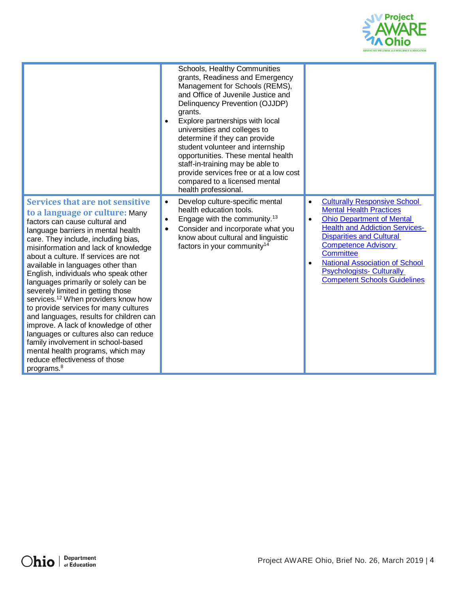

|                                                                                                                                                                                                                                                                                                                                                                                                                                                                                                                                                                                                                                                                                                                                                                                                  | Schools, Healthy Communities<br>grants, Readiness and Emergency<br>Management for Schools (REMS),<br>and Office of Juvenile Justice and<br>Delinquency Prevention (OJJDP)<br>grants.<br>Explore partnerships with local<br>$\bullet$<br>universities and colleges to<br>determine if they can provide<br>student volunteer and internship<br>opportunities. These mental health<br>staff-in-training may be able to<br>provide services free or at a low cost<br>compared to a licensed mental<br>health professional. |                                                                                                                                                                                                                                                                                                                                                                                            |
|--------------------------------------------------------------------------------------------------------------------------------------------------------------------------------------------------------------------------------------------------------------------------------------------------------------------------------------------------------------------------------------------------------------------------------------------------------------------------------------------------------------------------------------------------------------------------------------------------------------------------------------------------------------------------------------------------------------------------------------------------------------------------------------------------|------------------------------------------------------------------------------------------------------------------------------------------------------------------------------------------------------------------------------------------------------------------------------------------------------------------------------------------------------------------------------------------------------------------------------------------------------------------------------------------------------------------------|--------------------------------------------------------------------------------------------------------------------------------------------------------------------------------------------------------------------------------------------------------------------------------------------------------------------------------------------------------------------------------------------|
| <b>Services that are not sensitive</b><br>to a language or culture: Many<br>factors can cause cultural and<br>language barriers in mental health<br>care. They include, including bias,<br>misinformation and lack of knowledge<br>about a culture. If services are not<br>available in languages other than<br>English, individuals who speak other<br>languages primarily or solely can be<br>severely limited in getting those<br>services. <sup>12</sup> When providers know how<br>to provide services for many cultures<br>and languages, results for children can<br>improve. A lack of knowledge of other<br>languages or cultures also can reduce<br>family involvement in school-based<br>mental health programs, which may<br>reduce effectiveness of those<br>programs. <sup>8</sup> | Develop culture-specific mental<br>$\bullet$<br>health education tools.<br>Engage with the community. <sup>13</sup><br>$\bullet$<br>Consider and incorporate what you<br>$\bullet$<br>know about cultural and linguistic<br>factors in your community <sup>14</sup>                                                                                                                                                                                                                                                    | <b>Culturally Responsive School</b><br>$\bullet$<br><b>Mental Health Practices</b><br><b>Ohio Department of Mental</b><br>$\bullet$<br><b>Health and Addiction Services-</b><br><b>Disparities and Cultural</b><br><b>Competence Advisory</b><br><b>Committee</b><br><b>National Association of School</b><br>٠<br><b>Psychologists- Culturally</b><br><b>Competent Schools Guidelines</b> |